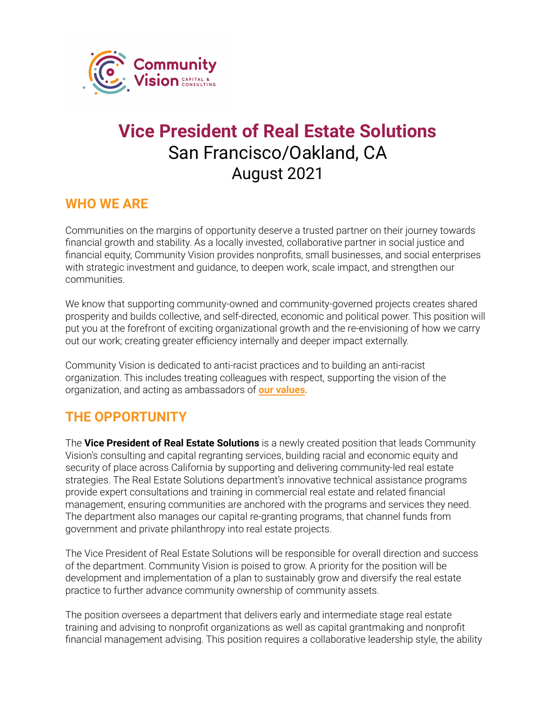

# **Vice President of Real Estate Solutions** San Francisco/Oakland, CA August 2021

#### **WHO WE ARE**

Communities on the margins of opportunity deserve a trusted partner on their journey towards financial growth and stability. As a locally invested, collaborative partner in social justice and financial equity, Community Vision provides nonprofits, small businesses, and social enterprises with strategic investment and guidance, to deepen work, scale impact, and strengthen our communities.

We know that supporting community-owned and community-governed projects creates shared prosperity and builds collective, and self-directed, economic and political power. This position will put you at the forefront of exciting organizational growth and the re-envisioning of how we carry out our work; creating greater efficiency internally and deeper impact externally.

Community Vision is dedicated to anti-racist practices and to building an anti-racist organization. This includes treating colleagues with respect, supporting the vision of the organization, and acting as ambassadors of **our [values](https://communityvisionca.org/about-us/#ourvalues)**.

## **THE OPPORTUNITY**

The **Vice President of Real Estate Solutions** is a newly created position that leads Community Vision's consulting and capital regranting services, building racial and economic equity and security of place across California by supporting and delivering community-led real estate strategies. The Real Estate Solutions department's innovative technical assistance programs provide expert consultations and training in commercial real estate and related financial management, ensuring communities are anchored with the programs and services they need. The department also manages our capital re-granting programs, that channel funds from government and private philanthropy into real estate projects.

The Vice President of Real Estate Solutions will be responsible for overall direction and success of the department. Community Vision is poised to grow. A priority for the position will be development and implementation of a plan to sustainably grow and diversify the real estate practice to further advance community ownership of community assets.

The position oversees a department that delivers early and intermediate stage real estate training and advising to nonprofit organizations as well as capital grantmaking and nonprofit financial management advising. This position requires a collaborative leadership style, the ability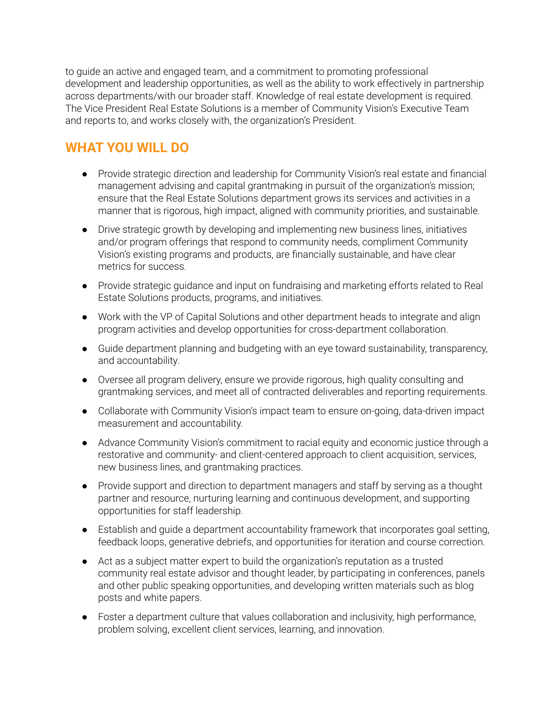to guide an active and engaged team, and a commitment to promoting professional development and leadership opportunities, as well as the ability to work effectively in partnership across departments/with our broader staff. Knowledge of real estate development is required. The Vice President Real Estate Solutions is a member of Community Vision's Executive Team and reports to, and works closely with, the organization's President.

# **WHAT YOU WILL DO**

- Provide strategic direction and leadership for Community Vision's real estate and financial management advising and capital grantmaking in pursuit of the organization's mission; ensure that the Real Estate Solutions department grows its services and activities in a manner that is rigorous, high impact, aligned with community priorities, and sustainable.
- Drive strategic growth by developing and implementing new business lines, initiatives and/or program offerings that respond to community needs, compliment Community Vision's existing programs and products, are financially sustainable, and have clear metrics for success.
- Provide strategic guidance and input on fundraising and marketing efforts related to Real Estate Solutions products, programs, and initiatives.
- Work with the VP of Capital Solutions and other department heads to integrate and align program activities and develop opportunities for cross-department collaboration.
- Guide department planning and budgeting with an eye toward sustainability, transparency, and accountability.
- Oversee all program delivery, ensure we provide rigorous, high quality consulting and grantmaking services, and meet all of contracted deliverables and reporting requirements.
- Collaborate with Community Vision's impact team to ensure on-going, data-driven impact measurement and accountability.
- Advance Community Vision's commitment to racial equity and economic justice through a restorative and community- and client-centered approach to client acquisition, services, new business lines, and grantmaking practices.
- Provide support and direction to department managers and staff by serving as a thought partner and resource, nurturing learning and continuous development, and supporting opportunities for staff leadership.
- Establish and guide a department accountability framework that incorporates goal setting, feedback loops, generative debriefs, and opportunities for iteration and course correction.
- Act as a subject matter expert to build the organization's reputation as a trusted community real estate advisor and thought leader, by participating in conferences, panels and other public speaking opportunities, and developing written materials such as blog posts and white papers.
- Foster a department culture that values collaboration and inclusivity, high performance, problem solving, excellent client services, learning, and innovation.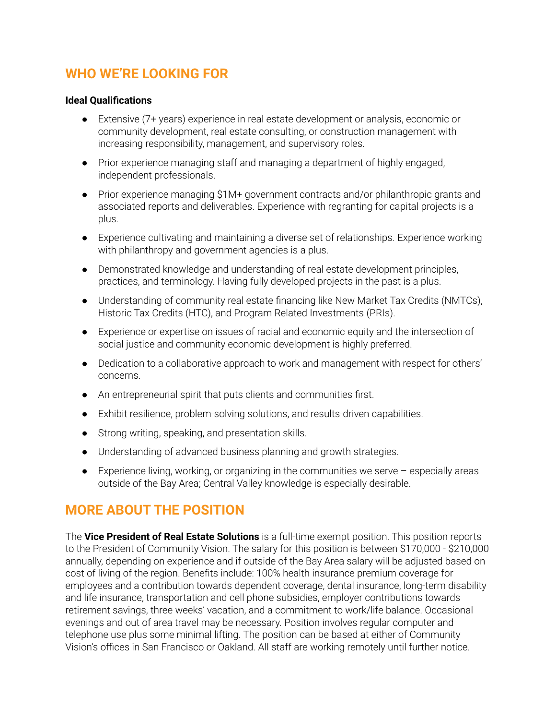#### **WHO WE'RE LOOKING FOR**

#### **Ideal Qualifications**

- Extensive (7+ years) experience in real estate development or analysis, economic or community development, real estate consulting, or construction management with increasing responsibility, management, and supervisory roles.
- Prior experience managing staff and managing a department of highly engaged, independent professionals.
- Prior experience managing \$1M+ government contracts and/or philanthropic grants and associated reports and deliverables. Experience with regranting for capital projects is a plus.
- Experience cultivating and maintaining a diverse set of relationships. Experience working with philanthropy and government agencies is a plus.
- Demonstrated knowledge and understanding of real estate development principles, practices, and terminology. Having fully developed projects in the past is a plus.
- Understanding of community real estate financing like New Market Tax Credits (NMTCs), Historic Tax Credits (HTC), and Program Related Investments (PRIs).
- Experience or expertise on issues of racial and economic equity and the intersection of social justice and community economic development is highly preferred.
- Dedication to a collaborative approach to work and management with respect for others' concerns.
- An entrepreneurial spirit that puts clients and communities first.
- Exhibit resilience, problem-solving solutions, and results-driven capabilities.
- Strong writing, speaking, and presentation skills.
- Understanding of advanced business planning and growth strategies.
- $\bullet$  Experience living, working, or organizing in the communities we serve  $-$  especially areas outside of the Bay Area; Central Valley knowledge is especially desirable.

#### **MORE ABOUT THE POSITION**

The **Vice President of Real Estate Solutions** is a full-time exempt position. This position reports to the President of Community Vision. The salary for this position is between \$170,000 - \$210,000 annually, depending on experience and if outside of the Bay Area salary will be adjusted based on cost of living of the region. Benefits include: 100% health insurance premium coverage for employees and a contribution towards dependent coverage, dental insurance, long-term disability and life insurance, transportation and cell phone subsidies, employer contributions towards retirement savings, three weeks' vacation, and a commitment to work/life balance. Occasional evenings and out of area travel may be necessary. Position involves regular computer and telephone use plus some minimal lifting. The position can be based at either of Community Vision's offices in San Francisco or Oakland. All staff are working remotely until further notice.